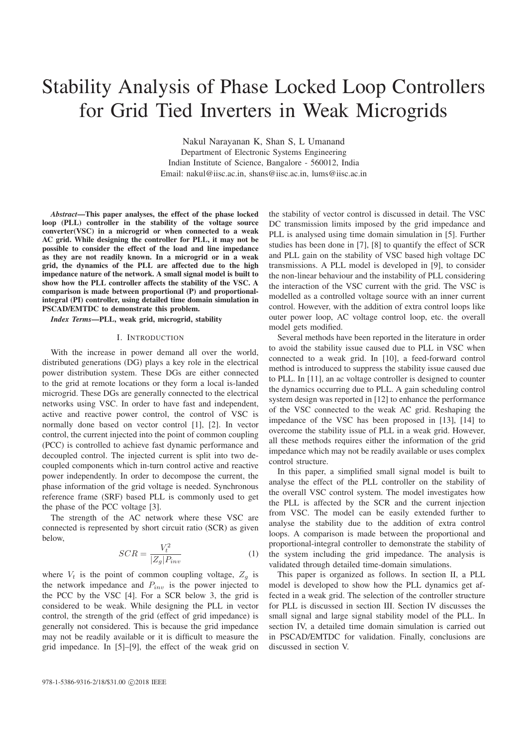# Stability Analysis of Phase Locked Loop Controllers for Grid Tied Inverters in Weak Microgrids

Nakul Narayanan K, Shan S, L Umanand Department of Electronic Systems Engineering Indian Institute of Science, Bangalore - 560012, India Email: nakul@iisc.ac.in, shans@iisc.ac.in, lums@iisc.ac.in

*Abstract*—This paper analyses, the effect of the phase locked loop (PLL) controller in the stability of the voltage source converter(VSC) in a microgrid or when connected to a weak AC grid. While designing the controller for PLL, it may not be possible to consider the effect of the load and line impedance as they are not readily known. In a microgrid or in a weak grid, the dynamics of the PLL are affected due to the high impedance nature of the network. A small signal model is built to show how the PLL controller affects the stability of the VSC. A comparison is made between proportional (P) and proportionalintegral (PI) controller, using detailed time domain simulation in PSCAD/EMTDC to demonstrate this problem.

## *Index Terms*—PLL, weak grid, microgrid, stability

#### I. INTRODUCTION

With the increase in power demand all over the world, distributed generations (DG) plays a key role in the electrical power distribution system. These DGs are either connected to the grid at remote locations or they form a local is-landed microgrid. These DGs are generally connected to the electrical networks using VSC. In order to have fast and independent, active and reactive power control, the control of VSC is normally done based on vector control [1], [2]. In vector control, the current injected into the point of common coupling (PCC) is controlled to achieve fast dynamic performance and decoupled control. The injected current is split into two decoupled components which in-turn control active and reactive power independently. In order to decompose the current, the phase information of the grid voltage is needed. Synchronous reference frame (SRF) based PLL is commonly used to get the phase of the PCC voltage [3].

The strength of the AC network where these VSC are connected is represented by short circuit ratio (SCR) as given below,

$$
SCR = \frac{V_t^2}{|Z_g|P_{inv}}\tag{1}
$$

where  $V_t$  is the point of common coupling voltage,  $Z_g$  is the network impedance and  $P_{inv}$  is the power injected to the PCC by the VSC [4]. For a SCR below 3, the grid is considered to be weak. While designing the PLL in vector control, the strength of the grid (effect of grid impedance) is generally not considered. This is because the grid impedance may not be readily available or it is difficult to measure the grid impedance. In [5]–[9], the effect of the weak grid on

the stability of vector control is discussed in detail. The VSC DC transmission limits imposed by the grid impedance and PLL is analysed using time domain simulation in [5]. Further studies has been done in [7], [8] to quantify the effect of SCR and PLL gain on the stability of VSC based high voltage DC transmissions. A PLL model is developed in [9], to consider the non-linear behaviour and the instability of PLL considering the interaction of the VSC current with the grid. The VSC is modelled as a controlled voltage source with an inner current control. However, with the addition of extra control loops like outer power loop, AC voltage control loop, etc. the overall model gets modified.

Several methods have been reported in the literature in order to avoid the stability issue caused due to PLL in VSC when connected to a weak grid. In [10], a feed-forward control method is introduced to suppress the stability issue caused due to PLL. In [11], an ac voltage controller is designed to counter the dynamics occurring due to PLL. A gain scheduling control system design was reported in [12] to enhance the performance of the VSC connected to the weak AC grid. Reshaping the impedance of the VSC has been proposed in [13], [14] to overcome the stability issue of PLL in a weak grid. However, all these methods requires either the information of the grid impedance which may not be readily available or uses complex control structure.

In this paper, a simplified small signal model is built to analyse the effect of the PLL controller on the stability of the overall VSC control system. The model investigates how the PLL is affected by the SCR and the current injection from VSC. The model can be easily extended further to analyse the stability due to the addition of extra control loops. A comparison is made between the proportional and proportional-integral controller to demonstrate the stability of the system including the grid impedance. The analysis is validated through detailed time-domain simulations.

This paper is organized as follows. In section II, a PLL model is developed to show how the PLL dynamics get affected in a weak grid. The selection of the controller structure for PLL is discussed in section III. Section IV discusses the small signal and large signal stability model of the PLL. In section IV, a detailed time domain simulation is carried out in PSCAD/EMTDC for validation. Finally, conclusions are discussed in section V.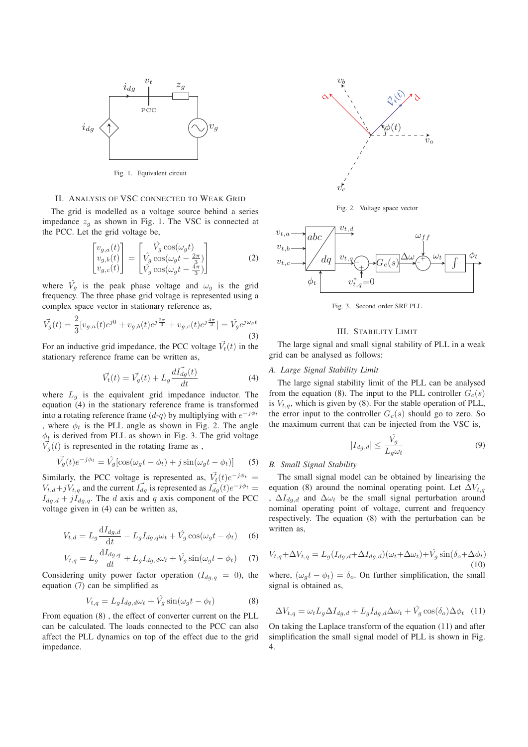

Fig. 1. Equivalent circuit

## II. ANALYSIS OF VSC CONNECTED TO WEAK GRID

The grid is modelled as a voltage source behind a series impedance  $z_a$  as shown in Fig. 1. The VSC is connected at the PCC. Let the grid voltage be,

$$
\begin{bmatrix} v_{g,a}(t) \\ v_{g,b}(t) \\ v_{g,c}(t) \end{bmatrix} = \begin{bmatrix} \hat{V}_g \cos(\omega_g t) \\ \hat{V}_g \cos(\omega_g t - \frac{2\pi}{3}) \\ \hat{V}_g \cos(\omega_g t - \frac{4\pi}{3}) \end{bmatrix}
$$
 (2)

where  $\hat{V}_g$  is the peak phase voltage and  $\omega_g$  is the grid frequency. The three phase grid voltage is represented using a complex space vector in stationary reference as,

$$
\vec{V_g}(t) = \frac{2}{3} [v_{g,a}(t)e^{j0} + v_{g,b}(t)e^{j\frac{2\pi}{3}} + v_{g,c}(t)e^{j\frac{4\pi}{3}}] = \hat{V_g}e^{j\omega_g t}
$$
\n(3)

For an inductive grid impedance, the PCC voltage  $\vec{V}_t(t)$  in the stationary reference frame can be written as,

$$
\vec{V}_t(t) = \vec{V}_g(t) + L_g \frac{d\vec{I}_{dg}(t)}{dt} \tag{4}
$$

where  $L_q$  is the equivalent grid impedance inductor. The equation (4) in the stationary reference frame is transformed into a rotating reference frame  $(d-q)$  by multiplying with  $e^{-j\phi_t}$ , where  $\phi_t$  is the PLL angle as shown in Fig. 2. The angle  $\phi_t$  is derived from PLL as shown in Fig. 3. The grid voltage  $\overline{V}_g(t)$  is represented in the rotating frame as ,

$$
\vec{V_g}(t)e^{-j\phi_t} = \hat{V_g}[\cos(\omega_g t - \phi_t) + j\sin(\omega_g t - \phi_t)] \tag{5}
$$

Similarly, the PCC voltage is represented as,  $V_t(t)e^{-j\phi_t}$  =  $V_{t,d}+jV_{t,q}$  and the current  $I_{dg}$  is represented as  $I_{dg}^{\dagger}(t)e^{-j\phi_t}=$  $I_{dg,d} + jI_{dg,q}$ . The d axis and q axis component of the PCC voltage given in (4) can be written as,

$$
V_{t,d} = L_g \frac{\mathrm{d}I_{dg,d}}{\mathrm{d}t} - L_g I_{dg,q} \omega_t + \hat{V_g} \cos(\omega_g t - \phi_t) \tag{6}
$$

$$
V_{t,q} = L_g \frac{\mathrm{d}I_{dg,q}}{dt} + L_g I_{dg,d} \omega_t + \hat{V}_g \sin(\omega_g t - \phi_t) \tag{7}
$$

Considering unity power factor operation  $(I_{dg,q} = 0)$ , the equation (7) can be simplified as

$$
V_{t,q} = L_g I_{dg,d} \omega_t + \hat{V_g} \sin(\omega_g t - \phi_t)
$$
 (8)

From equation (8) , the effect of converter current on the PLL can be calculated. The loads connected to the PCC can also affect the PLL dynamics on top of the effect due to the grid impedance.



Fig. 2. Voltage space vector



Fig. 3. Second order SRF PLL

## III. STABILITY LIMIT

The large signal and small signal stability of PLL in a weak grid can be analysed as follows:

#### *A. Large Signal Stability Limit*

The large signal stability limit of the PLL can be analysed from the equation (8). The input to the PLL controller  $G_c(s)$ is  $V_{t,q}$ , which is given by (8). For the stable operation of PLL, the error input to the controller  $G_c(s)$  should go to zero. So the maximum current that can be injected from the VSC is,

$$
|I_{dg,d}| \le \frac{\hat{V_g}}{L_g \omega_t} \tag{9}
$$

## *B. Small Signal Stability*

The small signal model can be obtained by linearising the equation (8) around the nominal operating point. Let  $\Delta V_{t,q}$ ,  $\Delta I_{dq,d}$  and  $\Delta \omega_t$  be the small signal perturbation around nominal operating point of voltage, current and frequency respectively. The equation (8) with the perturbation can be written as,

$$
V_{t,q} + \Delta V_{t,q} = L_g(I_{dg,d} + \Delta I_{dg,d})(\omega_t + \Delta \omega_t) + \hat{V}_g \sin(\delta_o + \Delta \phi_t)
$$
  
(10)  
where,  $(\omega_g t - \phi_t) = \delta_o$ . On further simplification, the small

signal is obtained as,

$$
\Delta V_{t,q} = \omega_t L_g \Delta I_{dg,d} + L_g I_{dg,d} \Delta \omega_t + \hat{V}_g \cos(\delta_o) \Delta \phi_t
$$
 (11)

On taking the Laplace transform of the equation (11) and after simplification the small signal model of PLL is shown in Fig. 4.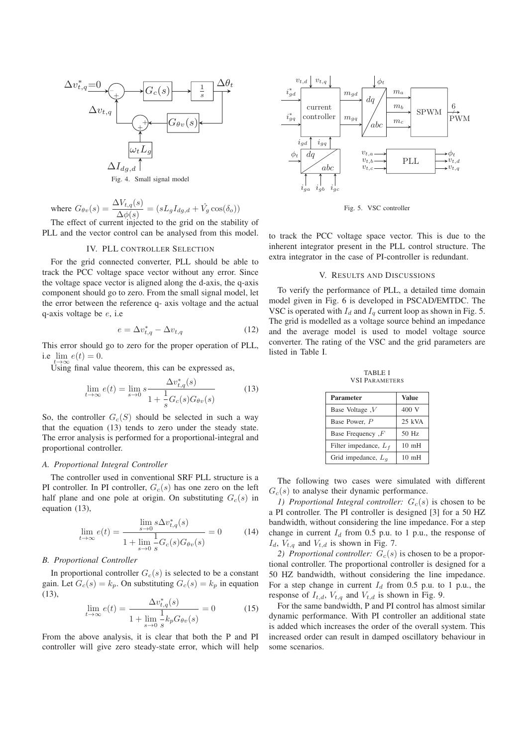

Fig. 4. Small signal model

where  $G_{\theta v}(s) = \frac{\Delta V_{t,q}(s)}{\Delta \phi(s)} = (sL_g I_{dg,d} + \hat{V}_g \cos(\delta_o))$ 

The effect of current injected to the grid on the stability of PLL and the vector control can be analysed from this model.

#### IV. PLL CONTROLLER SELECTION

For the grid connected converter, PLL should be able to track the PCC voltage space vector without any error. Since the voltage space vector is aligned along the d-axis, the q-axis component should go to zero. From the small signal model, let the error between the reference q- axis voltage and the actual q-axis voltage be e, i.e

$$
e = \Delta v_{t,q}^* - \Delta v_{t,q} \tag{12}
$$

This error should go to zero for the proper operation of PLL, i.e lim  $e(t)=0$ .

 $\widetilde{Using}$  final value theorem, this can be expressed as,

$$
\lim_{t \to \infty} e(t) = \lim_{s \to 0} s \frac{\Delta v_{t,q}^*(s)}{1 + \frac{1}{s} G_c(s) G_{\theta v}(s)}
$$
(13)

So, the controller  $G_c(S)$  should be selected in such a way that the equation (13) tends to zero under the steady state. The error analysis is performed for a proportional-integral and proportional controller.

## *A. Proportional Integral Controller*

The controller used in conventional SRF PLL structure is a PI controller. In PI controller,  $G_c(s)$  has one zero on the left half plane and one pole at origin. On substituting  $G_c(s)$  in equation (13),

$$
\lim_{t \to \infty} e(t) = \frac{\lim_{s \to 0} s \Delta v_{t,q}^*(s)}{1 + \lim_{s \to 0} \frac{1}{s} G_c(s) G_{\theta v}(s)} = 0
$$
\n(14)

## *B. Proportional Controller*

In proportional controller  $G_c(s)$  is selected to be a constant gain. Let  $G_c(s) = k_p$ . On substituting  $G_c(s) = k_p$  in equation (13),

$$
\lim_{t \to \infty} e(t) = \frac{\Delta v_{t,q}^*(s)}{1 + \lim_{s \to 0} \frac{1}{s} k_p G_{\theta v}(s)} = 0
$$
\n(15)

From the above analysis, it is clear that both the P and PI controller will give zero steady-state error, which will help



Fig. 5. VSC controller

to track the PCC voltage space vector. This is due to the inherent integrator present in the PLL control structure. The extra integrator in the case of PI-controller is redundant.

## V. RESULTS AND DISCUSSIONS

To verify the performance of PLL, a detailed time domain model given in Fig. 6 is developed in PSCAD/EMTDC. The VSC is operated with  $I_d$  and  $I_q$  current loop as shown in Fig. 5. The grid is modelled as a voltage source behind an impedance and the average model is used to model voltage source converter. The rating of the VSC and the grid parameters are listed in Table I.

TABLE I VSI PARAMETERS

| <b>Parameter</b>        | <b>Value</b>     |
|-------------------------|------------------|
| Base Voltage, $V$       | 400 V            |
| Base Power, P           | $25$ kVA         |
| Base Frequency, $F$     | $50$ Hz          |
| Filter impedance, $L_f$ | 10 <sub>mH</sub> |
| Grid impedance, $L_a$   | $10 \text{ mH}$  |

The following two cases were simulated with different  $G<sub>c</sub>(s)$  to analyse their dynamic performance.

*1) Proportional Integral controller:*  $G_c(s)$  is chosen to be a PI controller. The PI controller is designed [3] for a 50 HZ bandwidth, without considering the line impedance. For a step change in current  $I_d$  from 0.5 p.u. to 1 p.u., the response of  $I_d$ ,  $V_{t,q}$  and  $V_{t,d}$  is shown in Fig. 7.

*2) Proportional controller:*  $G_c(s)$  is chosen to be a proportional controller. The proportional controller is designed for a 50 HZ bandwidth, without considering the line impedance. For a step change in current  $I_d$  from 0.5 p.u. to 1 p.u., the response of  $I_{t,d}$ ,  $V_{t,q}$  and  $V_{t,d}$  is shown in Fig. 9.

For the same bandwidth, P and PI control has almost similar dynamic performance. With PI controller an additional state is added which increases the order of the overall system. This increased order can result in damped oscillatory behaviour in some scenarios.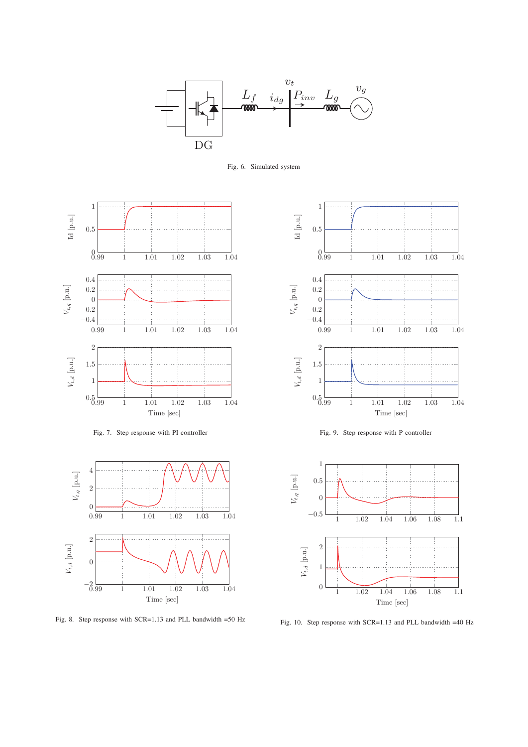

Fig. 6. Simulated system



Fig. 7. Step response with PI controller



Fig. 8. Step response with SCR=1.13 and PLL bandwidth =50 Hz







Fig. 10. Step response with SCR=1.13 and PLL bandwidth =40 Hz